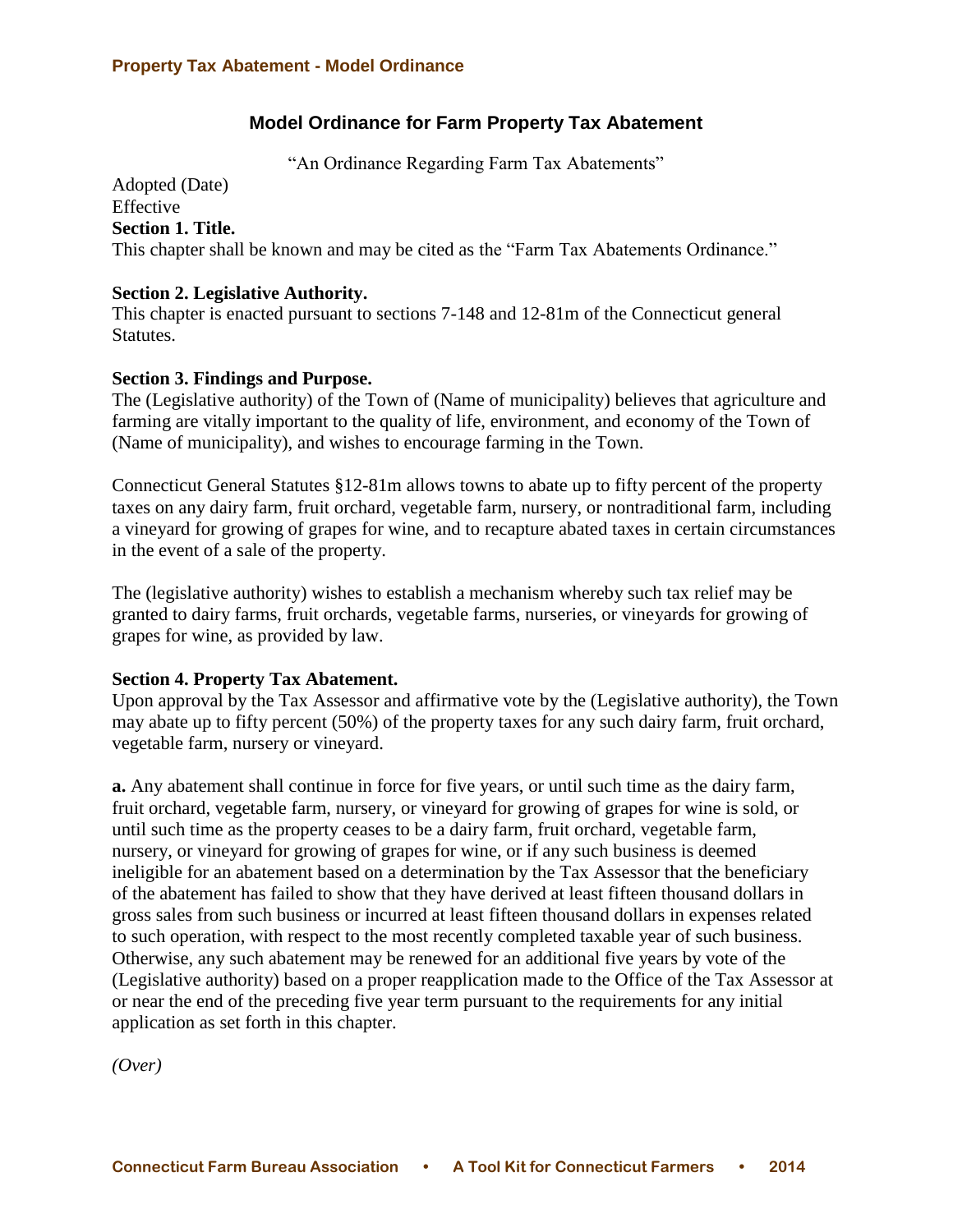# **Model Ordinance for Farm Property Tax Abatement**

"An Ordinance Regarding Farm Tax Abatements"

Adopted (Date) Effective **Section 1. Title.** This chapter shall be known and may be cited as the "Farm Tax Abatements Ordinance."

## **Section 2. Legislative Authority.**

This chapter is enacted pursuant to sections 7-148 and 12-81m of the Connecticut general Statutes.

## **Section 3. Findings and Purpose.**

The (Legislative authority) of the Town of (Name of municipality) believes that agriculture and farming are vitally important to the quality of life, environment, and economy of the Town of (Name of municipality), and wishes to encourage farming in the Town.

Connecticut General Statutes §12-81m allows towns to abate up to fifty percent of the property taxes on any dairy farm, fruit orchard, vegetable farm, nursery, or nontraditional farm, including a vineyard for growing of grapes for wine, and to recapture abated taxes in certain circumstances in the event of a sale of the property.

The (legislative authority) wishes to establish a mechanism whereby such tax relief may be granted to dairy farms, fruit orchards, vegetable farms, nurseries, or vineyards for growing of grapes for wine, as provided by law.

# **Section 4. Property Tax Abatement.**

Upon approval by the Tax Assessor and affirmative vote by the (Legislative authority), the Town may abate up to fifty percent (50%) of the property taxes for any such dairy farm, fruit orchard, vegetable farm, nursery or vineyard.

**a.** Any abatement shall continue in force for five years, or until such time as the dairy farm, fruit orchard, vegetable farm, nursery, or vineyard for growing of grapes for wine is sold, or until such time as the property ceases to be a dairy farm, fruit orchard, vegetable farm, nursery, or vineyard for growing of grapes for wine, or if any such business is deemed ineligible for an abatement based on a determination by the Tax Assessor that the beneficiary of the abatement has failed to show that they have derived at least fifteen thousand dollars in gross sales from such business or incurred at least fifteen thousand dollars in expenses related to such operation, with respect to the most recently completed taxable year of such business. Otherwise, any such abatement may be renewed for an additional five years by vote of the (Legislative authority) based on a proper reapplication made to the Office of the Tax Assessor at or near the end of the preceding five year term pursuant to the requirements for any initial application as set forth in this chapter.

*(Over)*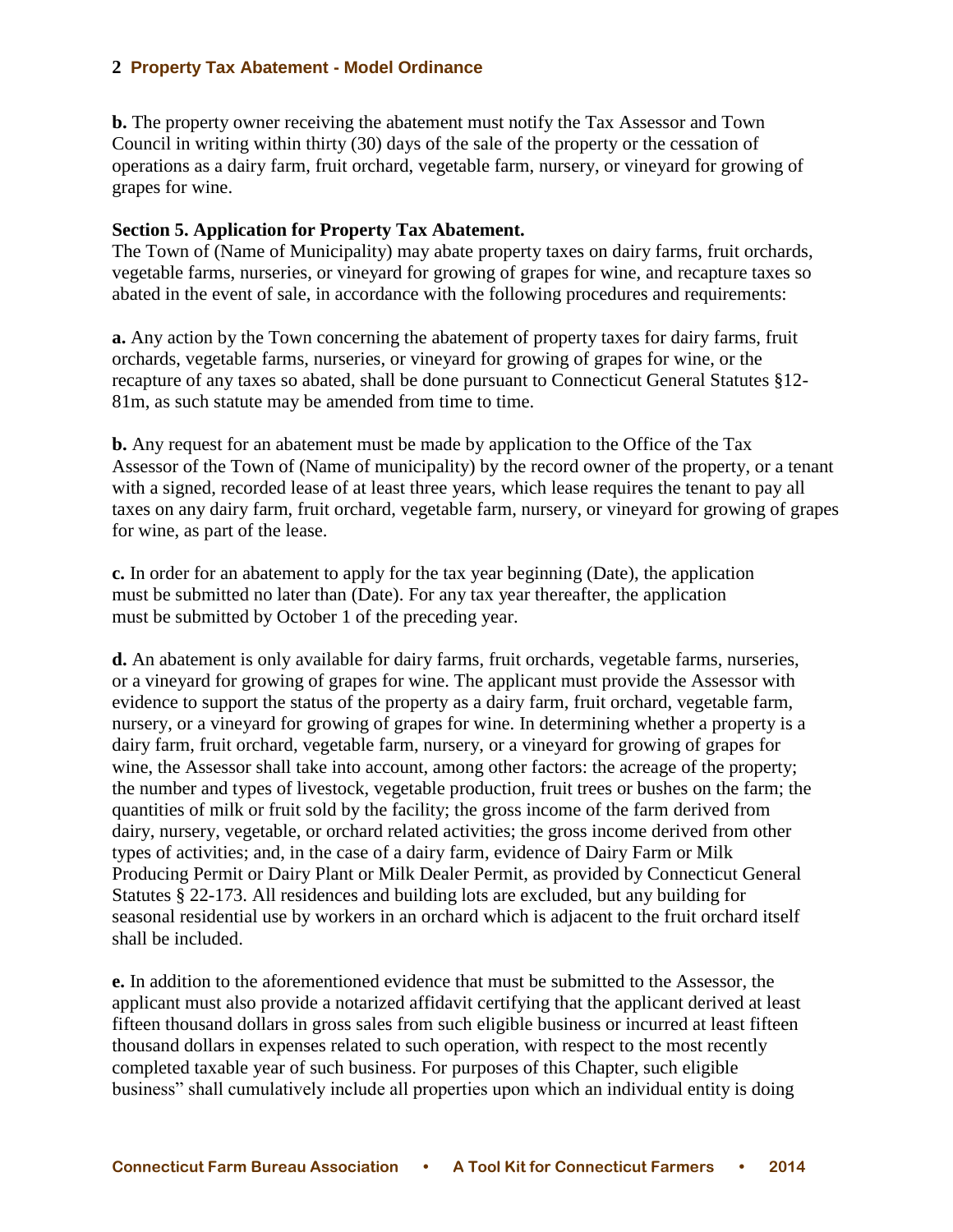### **2 Property Tax Abatement - Model Ordinance**

**b.** The property owner receiving the abatement must notify the Tax Assessor and Town Council in writing within thirty (30) days of the sale of the property or the cessation of operations as a dairy farm, fruit orchard, vegetable farm, nursery, or vineyard for growing of grapes for wine.

## **Section 5. Application for Property Tax Abatement.**

The Town of (Name of Municipality) may abate property taxes on dairy farms, fruit orchards, vegetable farms, nurseries, or vineyard for growing of grapes for wine, and recapture taxes so abated in the event of sale, in accordance with the following procedures and requirements:

**a.** Any action by the Town concerning the abatement of property taxes for dairy farms, fruit orchards, vegetable farms, nurseries, or vineyard for growing of grapes for wine, or the recapture of any taxes so abated, shall be done pursuant to Connecticut General Statutes §12- 81m, as such statute may be amended from time to time.

**b.** Any request for an abatement must be made by application to the Office of the Tax Assessor of the Town of (Name of municipality) by the record owner of the property, or a tenant with a signed, recorded lease of at least three years, which lease requires the tenant to pay all taxes on any dairy farm, fruit orchard, vegetable farm, nursery, or vineyard for growing of grapes for wine, as part of the lease.

**c.** In order for an abatement to apply for the tax year beginning (Date), the application must be submitted no later than (Date). For any tax year thereafter, the application must be submitted by October 1 of the preceding year.

**d.** An abatement is only available for dairy farms, fruit orchards, vegetable farms, nurseries, or a vineyard for growing of grapes for wine. The applicant must provide the Assessor with evidence to support the status of the property as a dairy farm, fruit orchard, vegetable farm, nursery, or a vineyard for growing of grapes for wine. In determining whether a property is a dairy farm, fruit orchard, vegetable farm, nursery, or a vineyard for growing of grapes for wine, the Assessor shall take into account, among other factors: the acreage of the property; the number and types of livestock, vegetable production, fruit trees or bushes on the farm; the quantities of milk or fruit sold by the facility; the gross income of the farm derived from dairy, nursery, vegetable, or orchard related activities; the gross income derived from other types of activities; and, in the case of a dairy farm, evidence of Dairy Farm or Milk Producing Permit or Dairy Plant or Milk Dealer Permit, as provided by Connecticut General Statutes § 22-173. All residences and building lots are excluded, but any building for seasonal residential use by workers in an orchard which is adjacent to the fruit orchard itself shall be included.

**e.** In addition to the aforementioned evidence that must be submitted to the Assessor, the applicant must also provide a notarized affidavit certifying that the applicant derived at least fifteen thousand dollars in gross sales from such eligible business or incurred at least fifteen thousand dollars in expenses related to such operation, with respect to the most recently completed taxable year of such business. For purposes of this Chapter, such eligible business" shall cumulatively include all properties upon which an individual entity is doing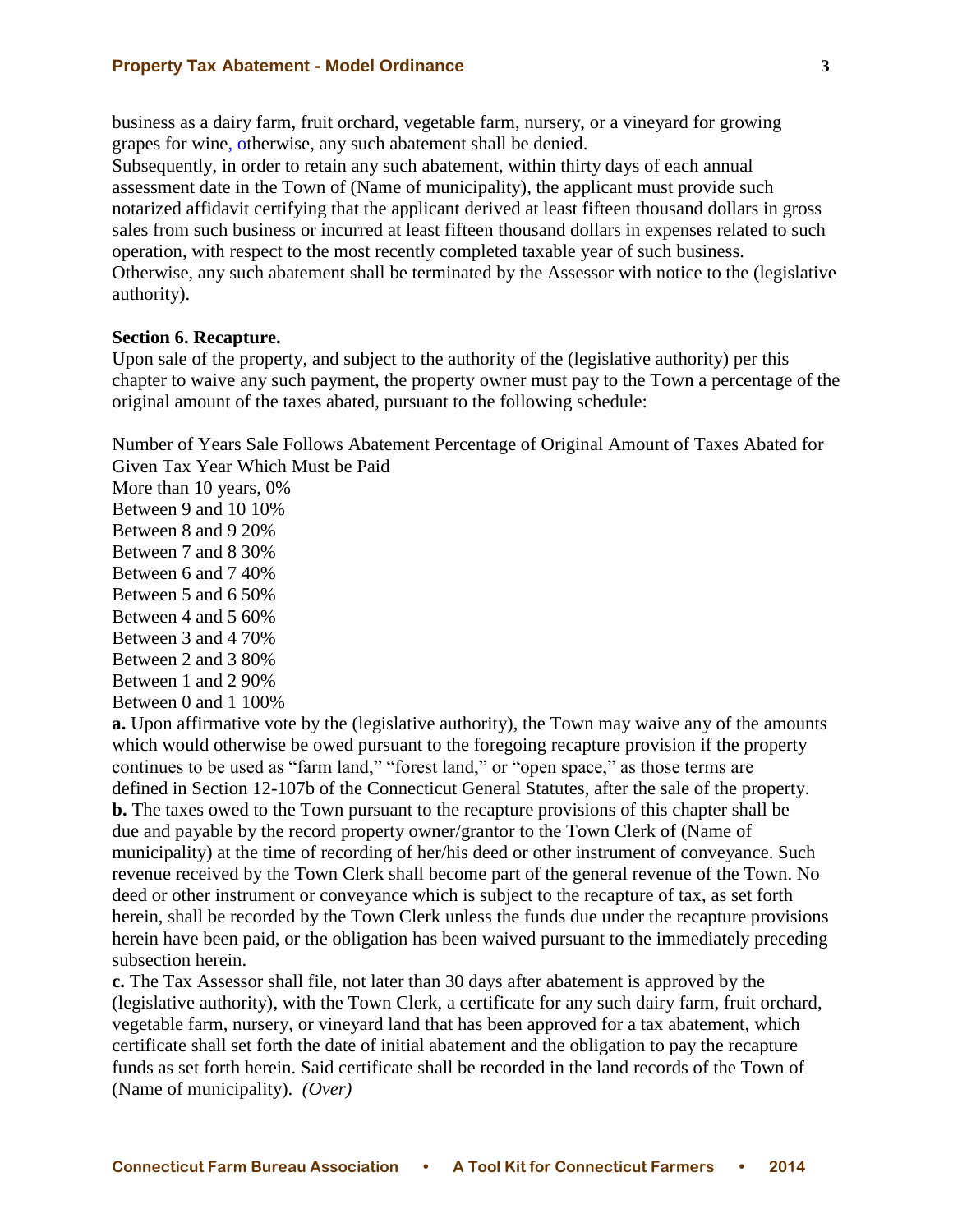#### **Property Tax Abatement - Model Ordinance 3**

business as a dairy farm, fruit orchard, vegetable farm, nursery, or a vineyard for growing grapes for wine, otherwise, any such abatement shall be denied.

Subsequently, in order to retain any such abatement, within thirty days of each annual assessment date in the Town of (Name of municipality), the applicant must provide such notarized affidavit certifying that the applicant derived at least fifteen thousand dollars in gross sales from such business or incurred at least fifteen thousand dollars in expenses related to such operation, with respect to the most recently completed taxable year of such business. Otherwise, any such abatement shall be terminated by the Assessor with notice to the (legislative authority).

### **Section 6. Recapture.**

Upon sale of the property, and subject to the authority of the (legislative authority) per this chapter to waive any such payment, the property owner must pay to the Town a percentage of the original amount of the taxes abated, pursuant to the following schedule:

Number of Years Sale Follows Abatement Percentage of Original Amount of Taxes Abated for Given Tax Year Which Must be Paid

More than 10 years, 0% Between 9 and 10 10% Between 8 and 9 20% Between 7 and 8 30% Between 6 and 7 40% Between 5 and 6 50% Between 4 and 5 60% Between 3 and 4 70% Between 2 and 3 80% Between 1 and 2 90% Between 0 and 1 100%

**a.** Upon affirmative vote by the (legislative authority), the Town may waive any of the amounts which would otherwise be owed pursuant to the foregoing recapture provision if the property continues to be used as "farm land," "forest land," or "open space," as those terms are defined in Section 12-107b of the Connecticut General Statutes, after the sale of the property. **b.** The taxes owed to the Town pursuant to the recapture provisions of this chapter shall be due and payable by the record property owner/grantor to the Town Clerk of (Name of municipality) at the time of recording of her/his deed or other instrument of conveyance. Such revenue received by the Town Clerk shall become part of the general revenue of the Town. No deed or other instrument or conveyance which is subject to the recapture of tax, as set forth herein, shall be recorded by the Town Clerk unless the funds due under the recapture provisions herein have been paid, or the obligation has been waived pursuant to the immediately preceding subsection herein.

**c.** The Tax Assessor shall file, not later than 30 days after abatement is approved by the (legislative authority), with the Town Clerk, a certificate for any such dairy farm, fruit orchard, vegetable farm, nursery, or vineyard land that has been approved for a tax abatement, which certificate shall set forth the date of initial abatement and the obligation to pay the recapture funds as set forth herein. Said certificate shall be recorded in the land records of the Town of (Name of municipality). *(Over)*